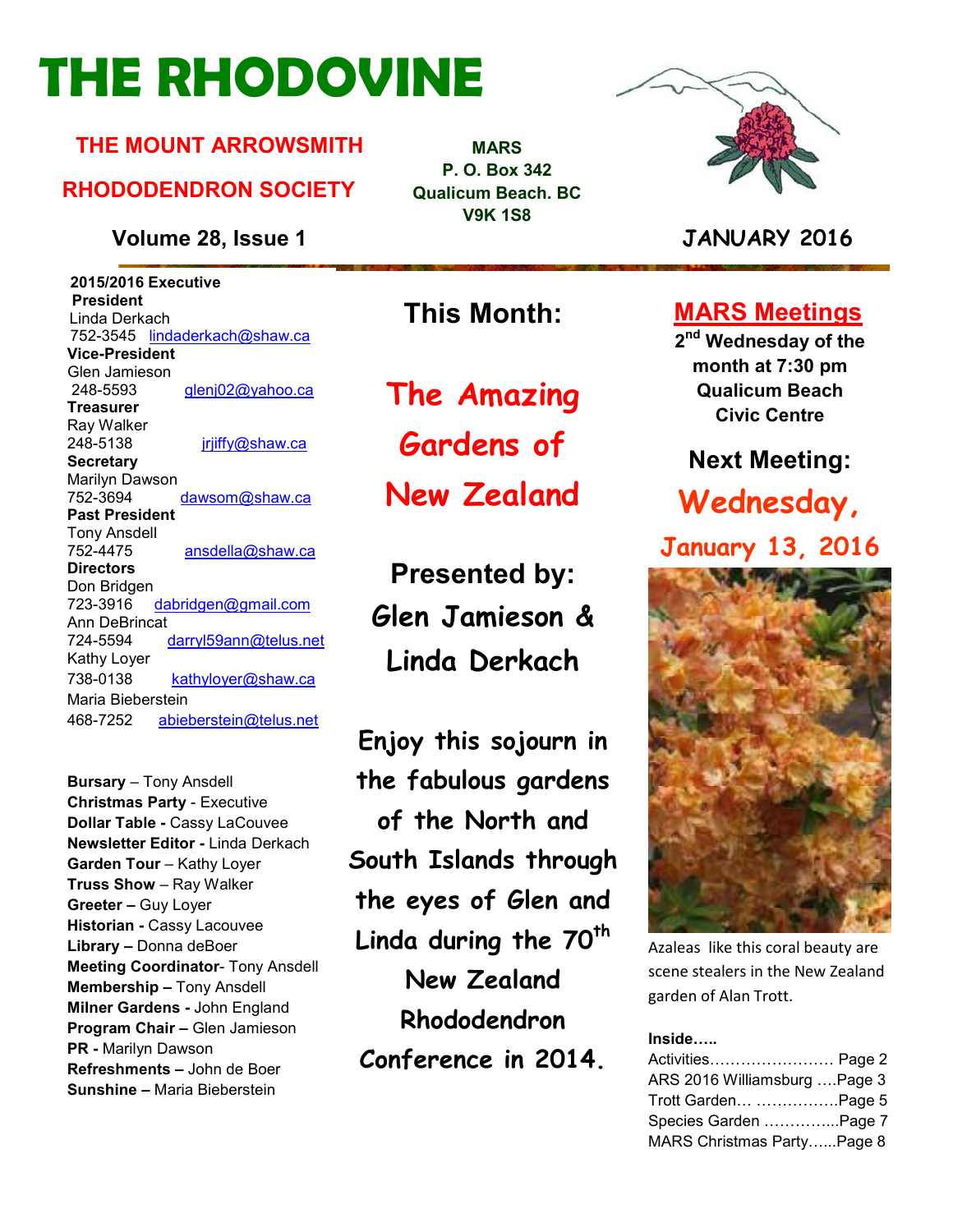# **THE RHODOVINE**

#### **THE MOUNT ARROWSMITH**

#### **RHODODENDRON SOCIETY**

**Volume 28, Issue 1 JANUARY 2016**

 **2015/2016 Executive President**  Linda Derkach 752-3545 lindaderkach@shaw.ca **Vice-President**  Glen Jamieson 248-5593 glenj02@yahoo.ca **Treasurer**  Ray Walker 248-5138 jrjiffy@shaw.ca **Secretary** Marilyn Dawson 752-3694 dawsom@shaw.ca **Past President**  Tony Ansdell 752-4475 ansdella@shaw.ca **Directors**  Don Bridgen 723-3916 dabridgen@gmail.com Ann DeBrincat<br>724-5594 darryl59ann@telus.net Kathy Loyer 738-0138 kathyloyer@shaw.ca Maria Bieberstein 468-7252 abieberstein@telus.net

**Bursary** – Tony Ansdell **Christmas Party** - Executive **Dollar Table -** Cassy LaCouvee **Newsletter Editor -** Linda Derkach **Garden Tour** – Kathy Loyer **Truss Show** – Ray Walker **Greeter –** Guy Loyer **Historian -** Cassy Lacouvee **Library –** Donna deBoer **Meeting Coordinator**- Tony Ansdell **Membership –** Tony Ansdell **Milner Gardens -** John England **Program Chair –** Glen Jamieson **PR -** Marilyn Dawson **Refreshments –** John de Boer **Sunshine –** Maria Bieberstein

**MARS P. O. Box 342 Qualicum Beach. BC V9K 1S8** 



**This Month:**

**The Amazing** 

**Gardens of** 

**New Zealand** 

**Presented by: Glen Jamieson & Linda Derkach** 

**Enjoy this sojourn in the fabulous gardens of the North and South Islands through the eyes of Glen and Linda during the 70th New Zealand Rhododendron Conference in 2014.** 

### **MARS Meetings**

**2 nd Wednesday of the month at 7:30 pm Qualicum Beach Civic Centre** 

#### **Next Meeting:**

# **Wednesday, January 13, 2016**



Azaleas like this coral beauty are scene stealers in the New Zealand garden of Alan Trott.

#### **Inside:..**

| Activities Page 2             |  |
|-------------------------------|--|
| ARS 2016 Williamsburg  Page 3 |  |
| Trott Garden Page 5           |  |
| Species Garden Page 7         |  |
| MARS Christmas PartyPage 8    |  |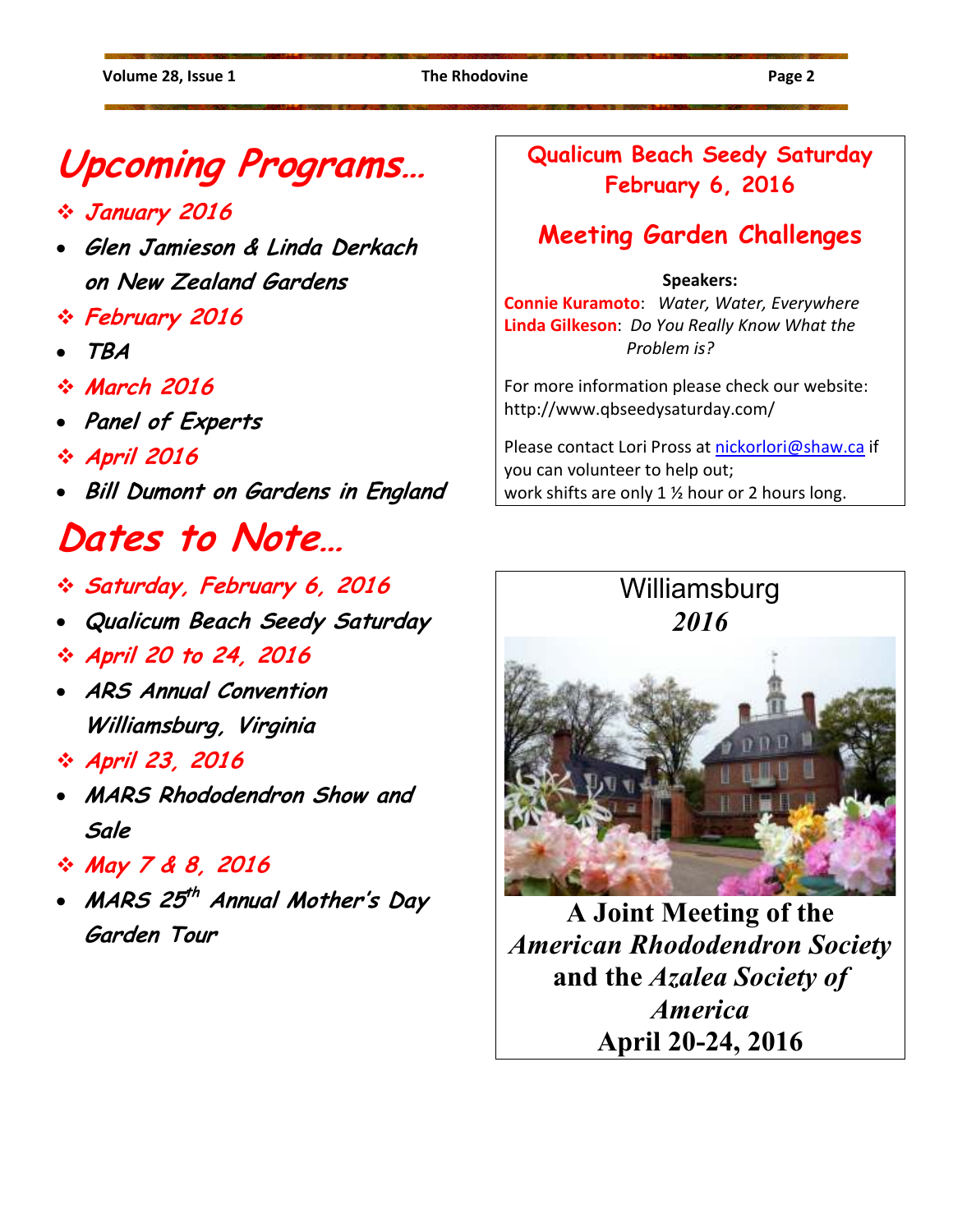# **Upcoming Programs…**

- **January 2016**
- **Glen Jamieson & Linda Derkach on New Zealand Gardens**
- **February 2016**
- **TBA**
- **March 2016**
- **Panel of Experts**
- **April 2016**
- **Bill Dumont on Gardens in England**

# **Dates to Note…**

- **Saturday, February 6, 2016**
- **Qualicum Beach Seedy Saturday**
- **April 20 to 24, 2016**
- **ARS Annual Convention Williamsburg, Virginia**
- **April 23, 2016**
- **MARS Rhododendron Show and Sale**
- **May 7 & 8, 2016**
- **MARS 25 th Annual Mother's Day Garden Tour**

### **Qualicum Beach Seedy Saturday February 6, 2016**

# **Meeting Garden Challenges**

#### **Speakers:**

**Connie Kuramoto**: *Water, Water, Everywhere*  **Linda Gilkeson**: *Do You Really Know What the Problem is?* 

For more information please check our website: http://www.qbseedysaturday.com/

Please contact Lori Pross at nickorlori@shaw.ca if you can volunteer to help out; work shifts are only 1 ½ hour or 2 hours long.

# **Williamsburg** *2016*



**A Joint Meeting of the** *American Rhododendron Society* **and the** *Azalea Society of America* **April 20-24, 2016**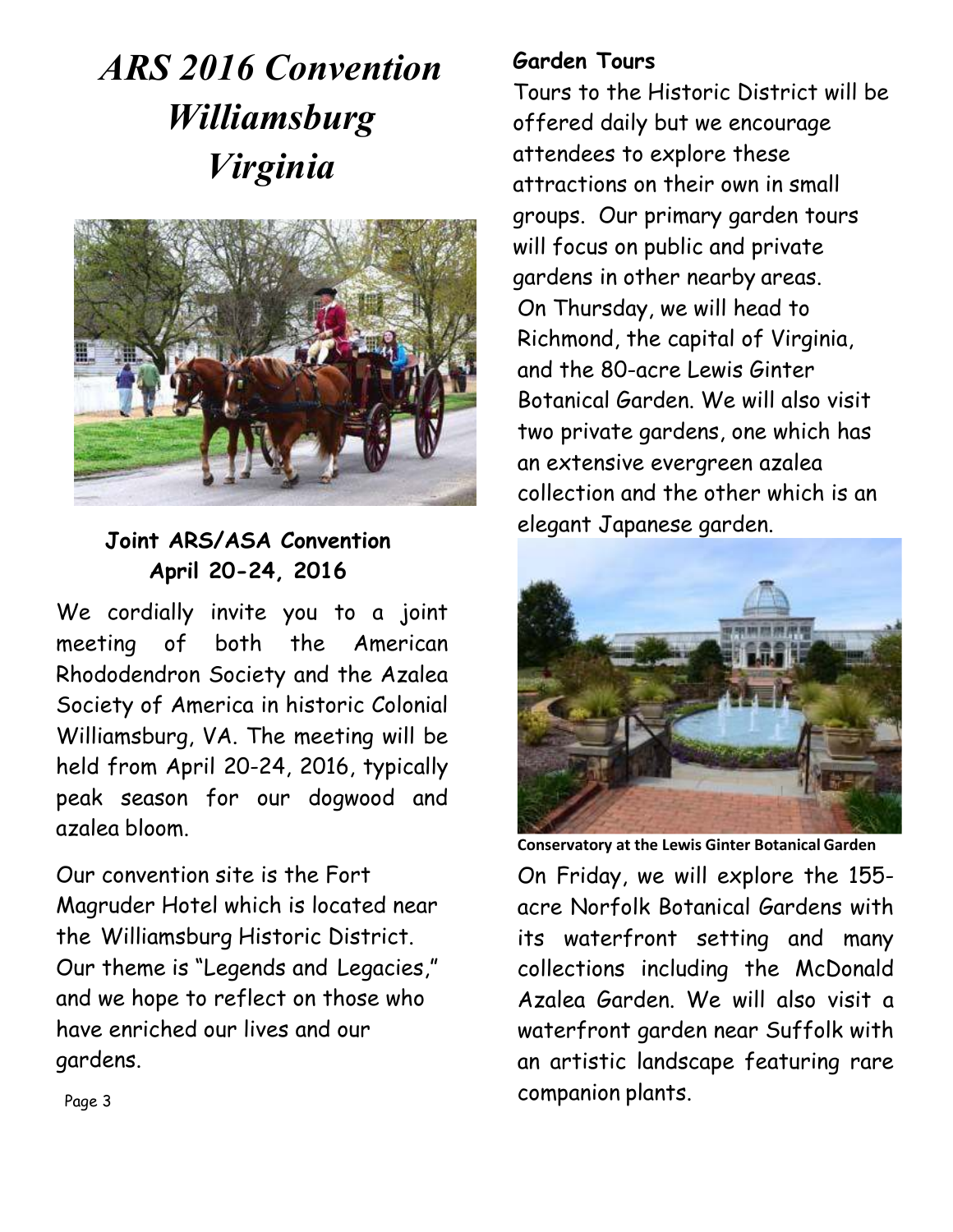# *ARS 2016 Convention Williamsburg Virginia*



#### **Joint ARS/ASA Convention April 20-24, 2016**

We cordially invite you to a joint meeting of both the American Rhododendron Society and the Azalea Society of America in historic Colonial Williamsburg, VA. The meeting will be held from April 20-24, 2016, typically peak season for our dogwood and azalea bloom.

Our convention site is the Fort Magruder Hotel which is located near the Williamsburg Historic District. Our theme is "Legends and Legacies," and we hope to reflect on those who have enriched our lives and our gardens.

#### **Garden Tours**

Tours to the Historic District will be offered daily but we encourage attendees to explore these attractions on their own in small groups. Our primary garden tours will focus on public and private gardens in other nearby areas. On Thursday, we will head to Richmond, the capital of Virginia, and the 80-acre Lewis Ginter Botanical Garden. We will also visit two private gardens, one which has an extensive evergreen azalea collection and the other which is an elegant Japanese garden.



**Conservatory at the Lewis Ginter Botanical Garden**  On Friday, we will explore the 155 acre Norfolk Botanical Gardens with its waterfront setting and many collections including the McDonald Azalea Garden. We will also visit a waterfront garden near Suffolk with an artistic landscape featuring rare companion plants.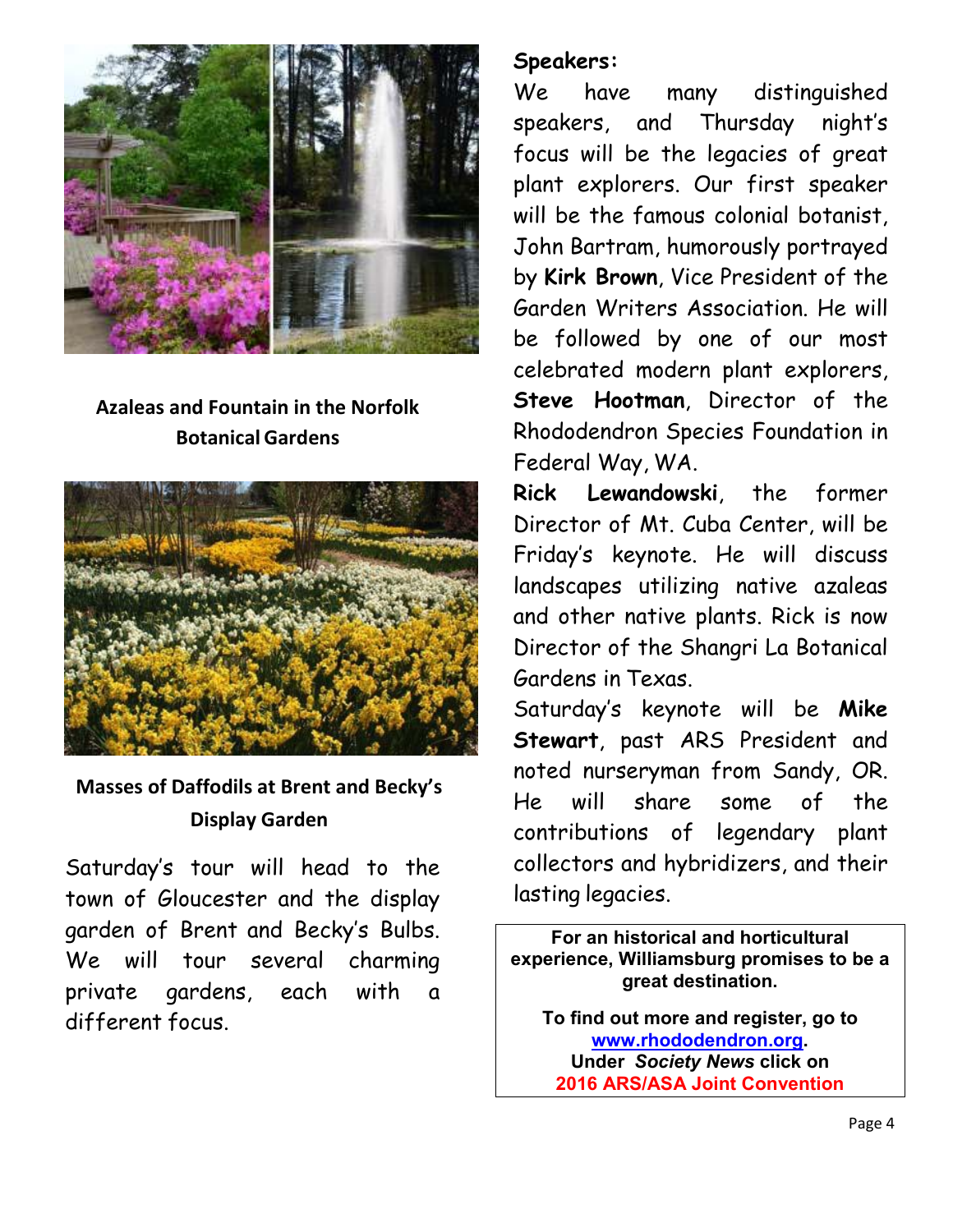

### **Azaleas and Fountain in the Norfolk Botanical Gardens**



### **Masses of Daffodils at Brent and Becky's Display Garden**

Saturday's tour will head to the town of Gloucester and the display garden of Brent and Becky's Bulbs. We will tour several charming private gardens, each with a different focus.

#### **Speakers:**

We have many distinguished speakers, and Thursday night's focus will be the legacies of great plant explorers. Our first speaker will be the famous colonial botanist, John Bartram, humorously portrayed by **Kirk Brown**, Vice President of the Garden Writers Association. He will be followed by one of our most celebrated modern plant explorers, **Steve Hootman**, Director of the Rhododendron Species Foundation in Federal Way, WA.

**Rick Lewandowski**, the former Director of Mt. Cuba Center, will be Friday's keynote. He will discuss landscapes utilizing native azaleas and other native plants. Rick is now Director of the Shangri La Botanical Gardens in Texas.

Saturday's keynote will be **Mike Stewart**, past ARS President and noted nurseryman from Sandy, OR. He will share some of the contributions of legendary plant collectors and hybridizers, and their lasting legacies.

**For an historical and horticultural experience, Williamsburg promises to be a great destination.** 

**To find out more and register, go to www.rhododendron.org. Under** *Society News* **click on 2016 ARS/ASA Joint Convention**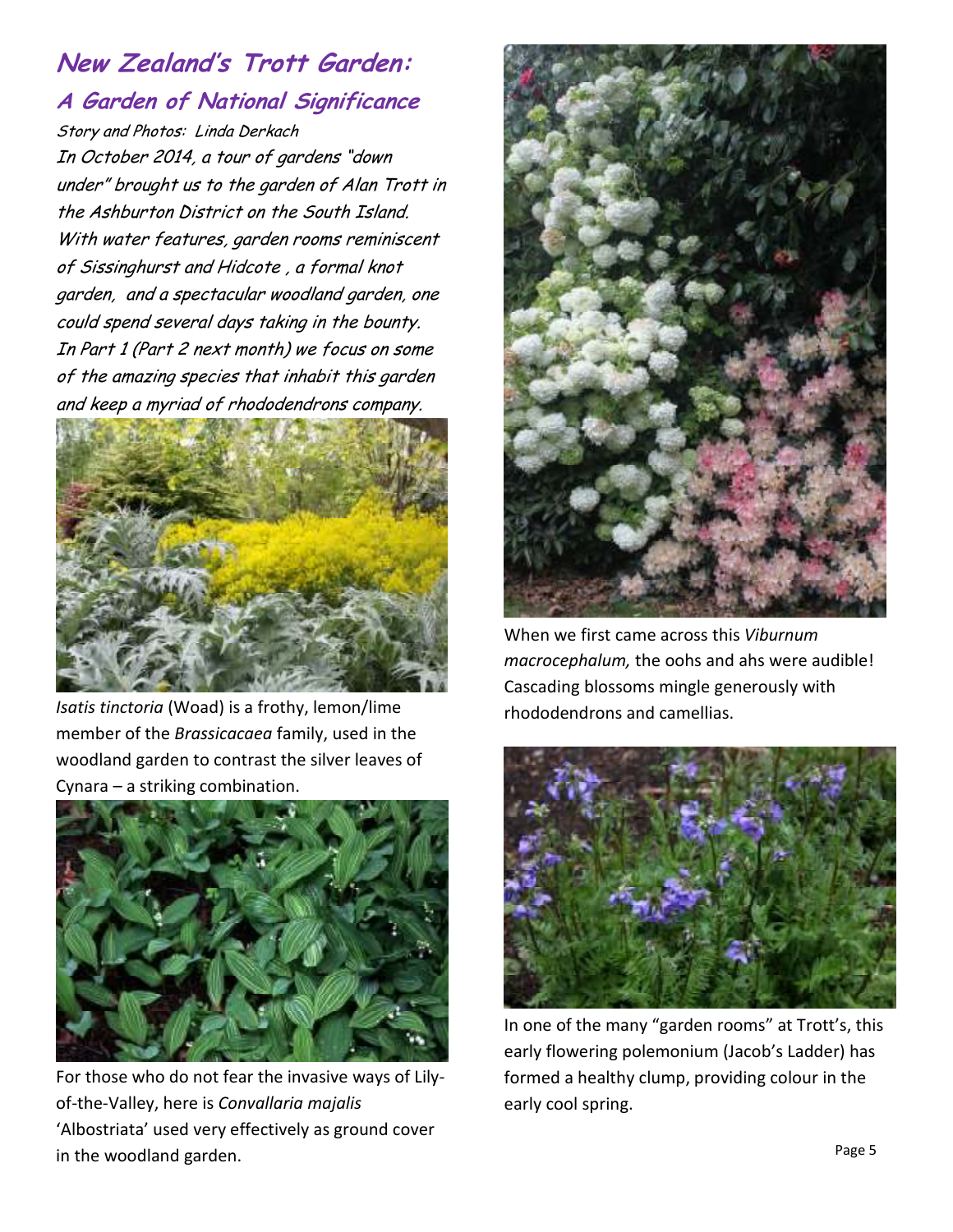# **New Zealand's Trott Garden: A Garden of National Significance**

Story and Photos: Linda Derkach In October 2014, a tour of gardens "down under" brought us to the garden of Alan Trott in the Ashburton District on the South Island. With water features, garden rooms reminiscent of Sissinghurst and Hidcote , a formal knot garden, and a spectacular woodland garden, one could spend several days taking in the bounty. In Part 1 (Part 2 next month) we focus on some of the amazing species that inhabit this garden and keep a myriad of rhododendrons company.



*Isatis tinctoria* (Woad) is a frothy, lemon/lime member of the *Brassicacaea* family, used in the woodland garden to contrast the silver leaves of Cynara – a striking combination.



For those who do not fear the invasive ways of Lilyof-the-Valley, here is *Convallaria majalis* 'Albostriata' used very effectively as ground cover in the woodland garden.



When we first came across this *Viburnum macrocephalum,* the oohs and ahs were audible! Cascading blossoms mingle generously with rhododendrons and camellias.



In one of the many "garden rooms" at Trott's, this early flowering polemonium (Jacob's Ladder) has formed a healthy clump, providing colour in the early cool spring.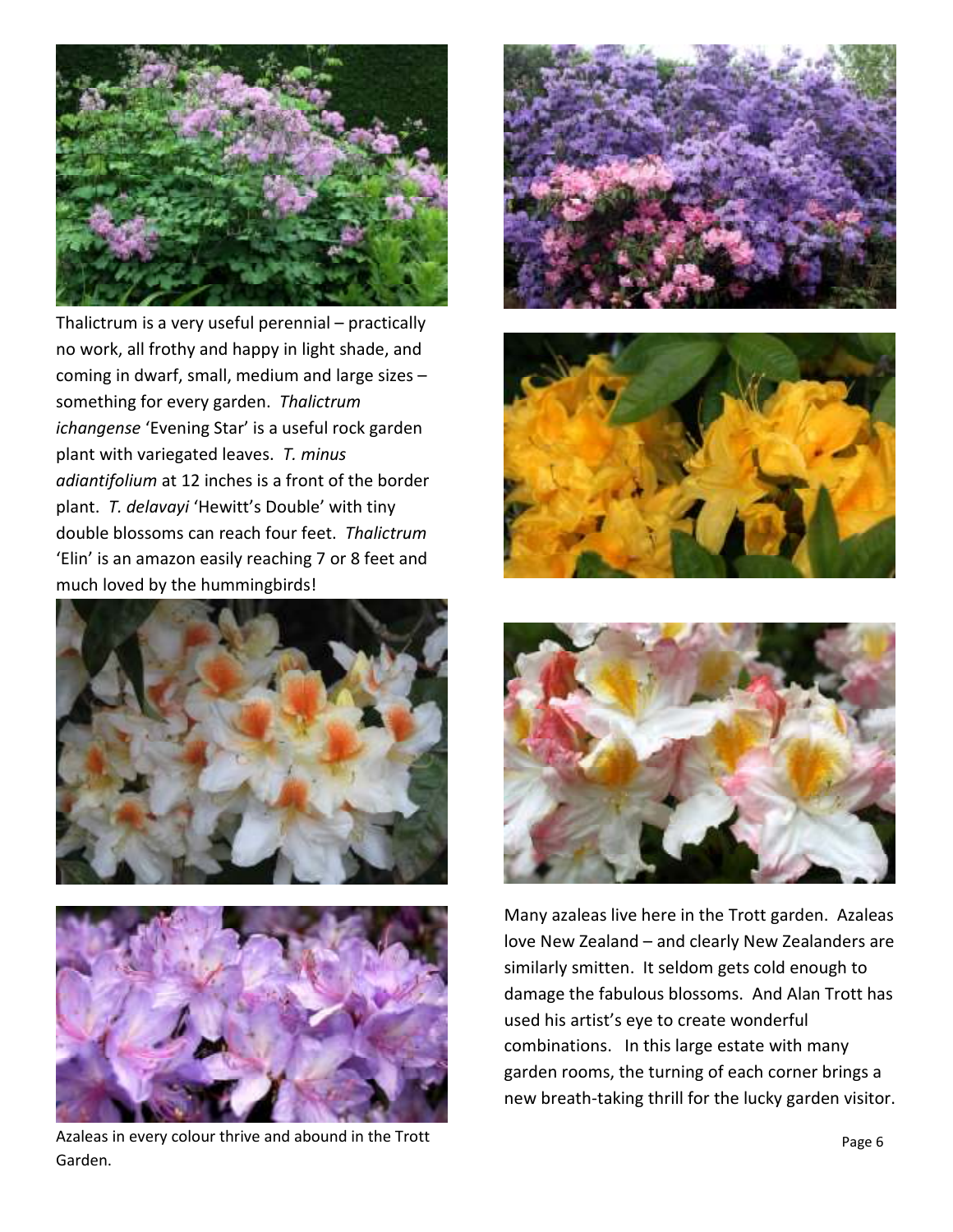

Thalictrum is a very useful perennial – practically no work, all frothy and happy in light shade, and coming in dwarf, small, medium and large sizes – something for every garden. *Thalictrum ichangense* 'Evening Star' is a useful rock garden plant with variegated leaves. *T. minus adiantifolium* at 12 inches is a front of the border plant. *T. delavayi* 'Hewitt's Double' with tiny double blossoms can reach four feet. *Thalictrum* 'Elin' is an amazon easily reaching 7 or 8 feet and much loved by the hummingbirds!





Azaleas in every colour thrive and abound in the Trott Garden.







Many azaleas live here in the Trott garden. Azaleas love New Zealand – and clearly New Zealanders are similarly smitten. It seldom gets cold enough to damage the fabulous blossoms. And Alan Trott has used his artist's eye to create wonderful combinations. In this large estate with many garden rooms, the turning of each corner brings a new breath-taking thrill for the lucky garden visitor.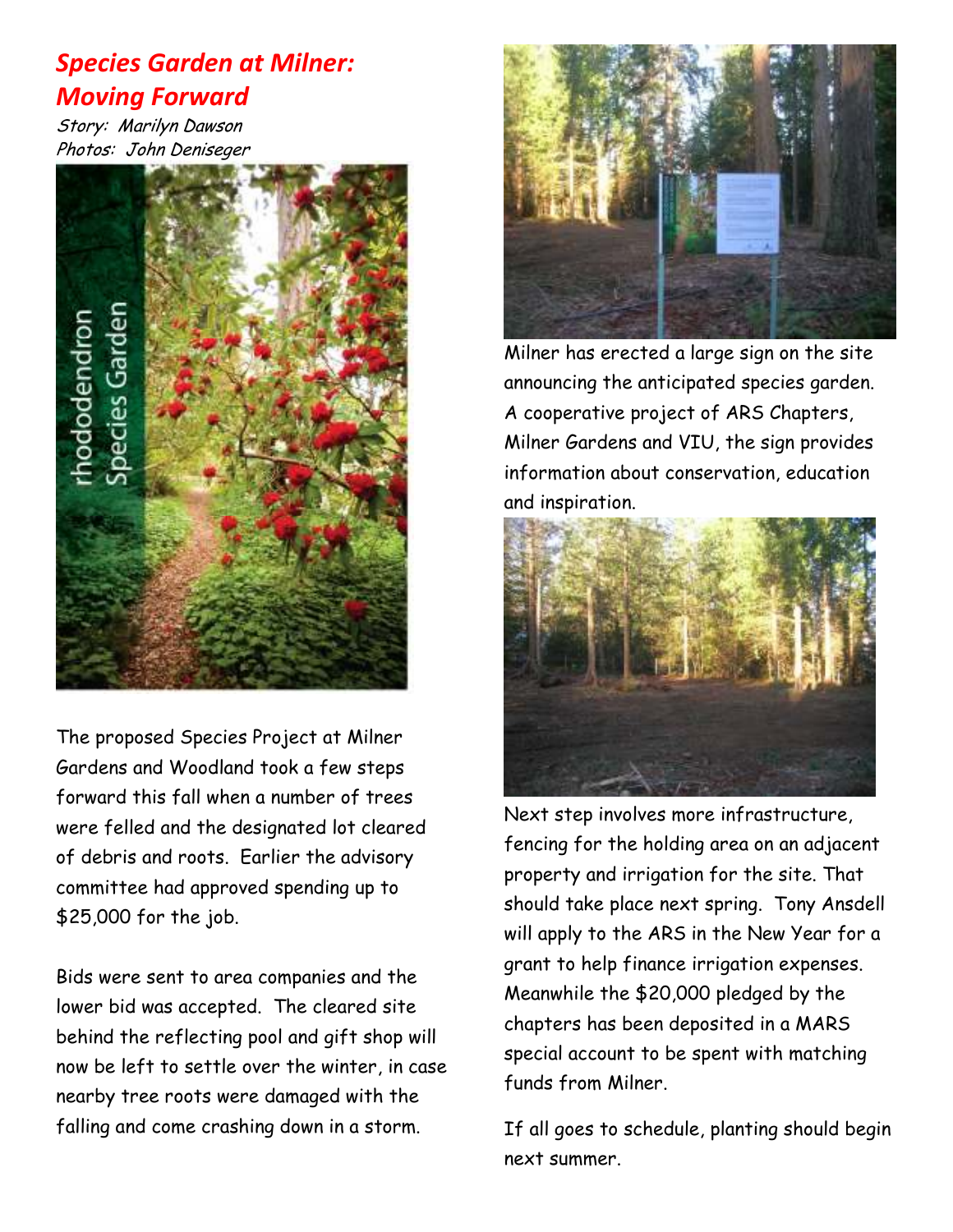### *Species Garden at Milner: Moving Forward*

Story: Marilyn Dawson Photos: John Deniseger



The proposed Species Project at Milner Gardens and Woodland took a few steps forward this fall when a number of trees were felled and the designated lot cleared of debris and roots. Earlier the advisory committee had approved spending up to \$25,000 for the job.

Bids were sent to area companies and the lower bid was accepted. The cleared site behind the reflecting pool and gift shop will now be left to settle over the winter, in case nearby tree roots were damaged with the falling and come crashing down in a storm.



Milner has erected a large sign on the site announcing the anticipated species garden. A cooperative project of ARS Chapters, Milner Gardens and VIU, the sign provides information about conservation, education and inspiration.



Next step involves more infrastructure, fencing for the holding area on an adjacent property and irrigation for the site. That should take place next spring. Tony Ansdell will apply to the ARS in the New Year for a grant to help finance irrigation expenses. Meanwhile the \$20,000 pledged by the chapters has been deposited in a MARS special account to be spent with matching funds from Milner.

If all goes to schedule, planting should begin next summer.